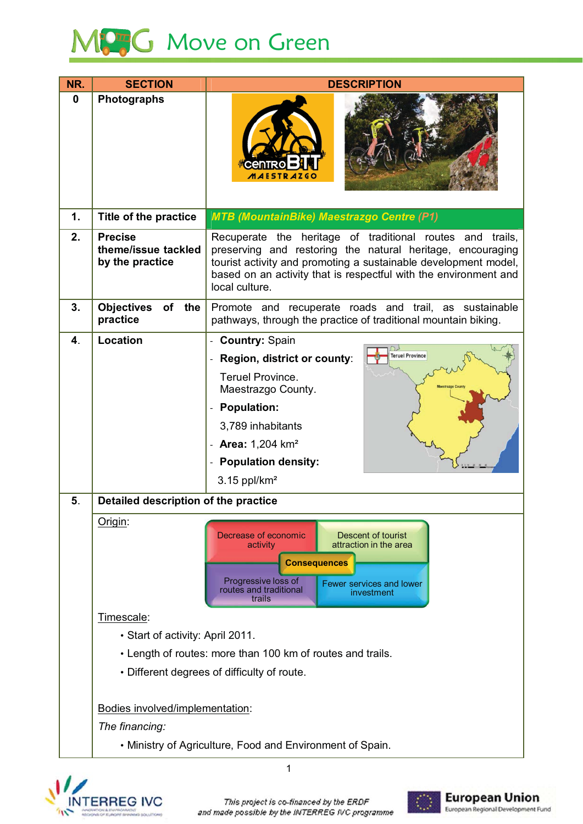

| NR.           | <b>SECTION</b>                                             | <b>DESCRIPTION</b>                                                                                                                                                                                                                                                                  |  |
|---------------|------------------------------------------------------------|-------------------------------------------------------------------------------------------------------------------------------------------------------------------------------------------------------------------------------------------------------------------------------------|--|
| $\bf{0}$      | <b>Photographs</b>                                         | <i><b>AESTRAZGC</b></i>                                                                                                                                                                                                                                                             |  |
| $\mathbf 1$ . | Title of the practice                                      | <b>MTB (MountainBike) Maestrazgo Centre (P1)</b>                                                                                                                                                                                                                                    |  |
| 2.            | <b>Precise</b><br>theme/issue tackled<br>by the practice   | Recuperate the heritage of traditional routes and<br>trails,<br>preserving and restoring the natural heritage, encouraging<br>tourist activity and promoting a sustainable development model,<br>based on an activity that is respectful with the environment and<br>local culture. |  |
| 3.            | <b>Objectives</b><br>of the<br>practice                    | Promote and recuperate roads and trail, as sustainable<br>pathways, through the practice of traditional mountain biking.                                                                                                                                                            |  |
| 4.            | <b>Location</b>                                            | - Country: Spain                                                                                                                                                                                                                                                                    |  |
|               |                                                            | <b>Teruel Province</b><br>Region, district or county:                                                                                                                                                                                                                               |  |
|               |                                                            | <b>Teruel Province.</b><br>Maestrazgo County.                                                                                                                                                                                                                                       |  |
|               |                                                            | <b>Population:</b>                                                                                                                                                                                                                                                                  |  |
|               |                                                            | 3,789 inhabitants                                                                                                                                                                                                                                                                   |  |
|               |                                                            | <b>Area: 1,204 km<sup>2</sup></b>                                                                                                                                                                                                                                                   |  |
|               |                                                            | <b>Population density:</b>                                                                                                                                                                                                                                                          |  |
|               |                                                            | $3.15$ ppl/km <sup>2</sup>                                                                                                                                                                                                                                                          |  |
| 5.            | Detailed description of the practice                       |                                                                                                                                                                                                                                                                                     |  |
|               | Origin:                                                    | Decrease of economic<br>Descent of tourist<br>attraction in the area<br>activity<br><b>Consequences</b><br>Progressive loss of<br>Fewer services and lower<br>routes and traditional<br>investment<br>trails                                                                        |  |
|               | Timescale:                                                 |                                                                                                                                                                                                                                                                                     |  |
|               | • Start of activity: April 2011.                           |                                                                                                                                                                                                                                                                                     |  |
|               | • Length of routes: more than 100 km of routes and trails. |                                                                                                                                                                                                                                                                                     |  |
|               | • Different degrees of difficulty of route.                |                                                                                                                                                                                                                                                                                     |  |
|               |                                                            |                                                                                                                                                                                                                                                                                     |  |
|               | Bodies involved/implementation:                            |                                                                                                                                                                                                                                                                                     |  |
|               | The financing:                                             |                                                                                                                                                                                                                                                                                     |  |
|               | • Ministry of Agriculture, Food and Environment of Spain.  |                                                                                                                                                                                                                                                                                     |  |



 $\overline{1}$ 

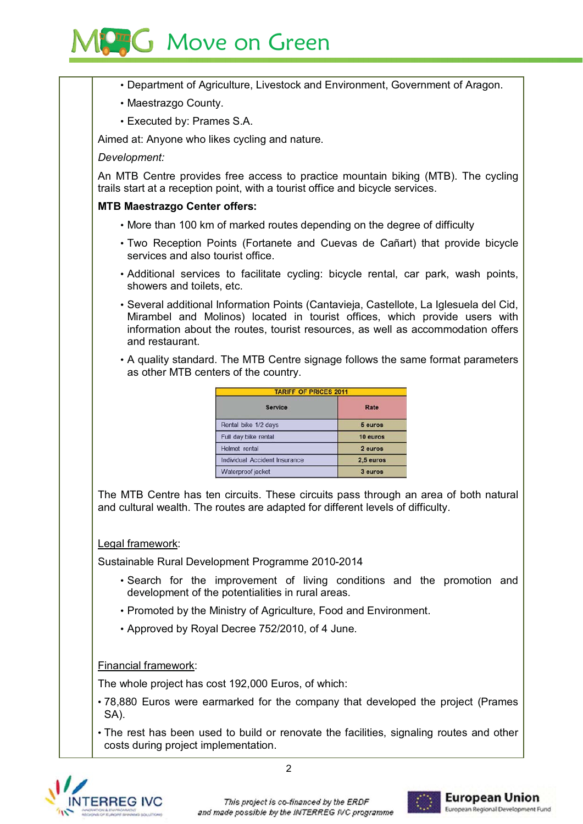# **PHG** Move on Green

- Department of Agriculture, Livestock and Environment, Government of Aragon.
- Maestrazgo County.
- Executed by: Prames S.A.

Aimed at: Anyone who likes cycling and nature.

### Development:

An MTB Centre provides free access to practice mountain biking (MTB). The cycling trails start at a reception point, with a tourist office and bicycle services.

## **MTB Maestrazgo Center offers:**

- More than 100 km of marked routes depending on the degree of difficulty
- Two Reception Points (Fortanete and Cuevas de Cañart) that provide bicycle services and also tourist office.
- Additional services to facilitate cycling: bicycle rental, car park, wash points, showers and toilets, etc.
- Several additional Information Points (Cantavieja, Castellote, La Iglesuela del Cid, Mirambel and Molinos) located in tourist offices, which provide users with information about the routes, tourist resources, as well as accommodation offers and restaurant.
- A quality standard. The MTB Centre signage follows the same format parameters as other MTB centers of the country.

| <b>TARIFF OF PRICES 2011</b>         |           |  |
|--------------------------------------|-----------|--|
| <b>Service</b>                       | Rate      |  |
| Rental bike 1/2 days                 | 5 euros   |  |
| Full day bike rental                 | 10 euros  |  |
| <b>Helmet</b> rental                 | 2 euros   |  |
| <b>Individual Accident Insurance</b> | 2.5 euros |  |
| Waterproof jacket                    | 3 euros   |  |

The MTB Centre has ten circuits. These circuits pass through an area of both natural and cultural wealth. The routes are adapted for different levels of difficulty.

### Legal framework:

Sustainable Rural Development Programme 2010-2014

- Search for the improvement of living conditions and the promotion and development of the potentialities in rural areas.
- Promoted by the Ministry of Agriculture, Food and Environment.
- Approved by Royal Decree 752/2010, of 4 June.

# Financial framework:

The whole project has cost 192,000 Euros, of which:

- .78,880 Euros were earmarked for the company that developed the project (Prames SA).
- The rest has been used to build or renovate the facilities, signaling routes and other costs during project implementation.